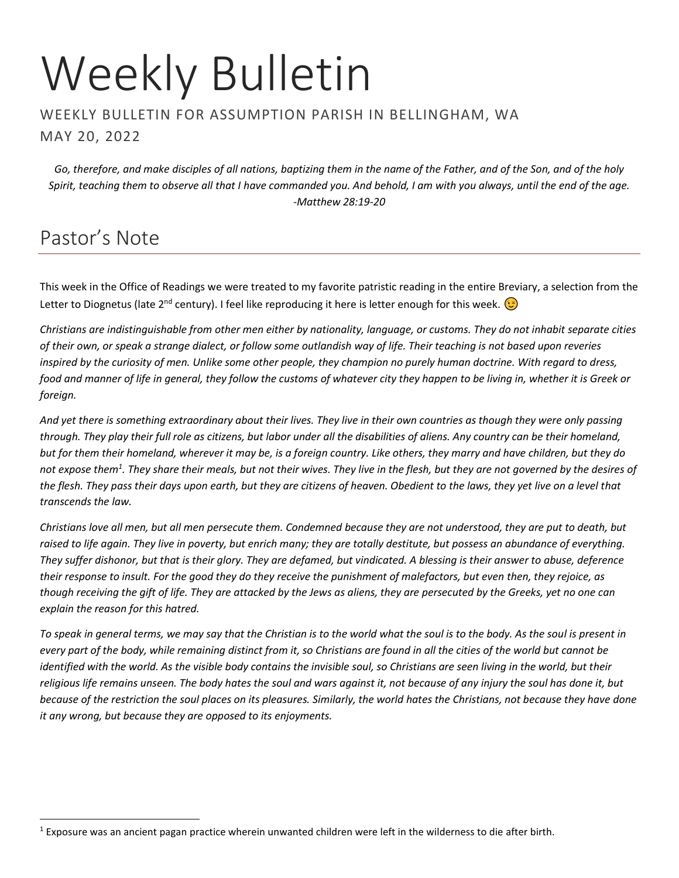# Weekly Bulletin

#### WEEKLY BULLETIN FOR ASSUMPTION PARISH IN BELLINGHAM, WA MAY 20, 2022

*Go, therefore, and make disciples of all nations, baptizing them in the name of the Father, and of the Son, and of the holy Spirit, teaching them to observe all that I have commanded you. And behold, I am with you always, until the end of the age. -Matthew 28:19-20*

## Pastor's Note

This week in the Office of Readings we were treated to my favorite patristic reading in the entire Breviary, a selection from the Letter to Diognetus (late 2<sup>nd</sup> century). I feel like reproducing it here is letter enough for this week.  $\odot$ 

*Christians are indistinguishable from other men either by nationality, language, or customs. They do not inhabit separate cities of their own, or speak a strange dialect, or follow some outlandish way of life. Their teaching is not based upon reveries inspired by the curiosity of men. Unlike some other people, they champion no purely human doctrine. With regard to dress, food and manner of life in general, they follow the customs of whatever city they happen to be living in, whether it is Greek or foreign.*

*And yet there is something extraordinary about their lives. They live in their own countries as though they were only passing through. They play their full role as citizens, but labor under all the disabilities of aliens. Any country can be their homeland, but for them their homeland, wherever it may be, is a foreign country. Like others, they marry and have children, but they do not expose them<sup>1</sup> . They share their meals, but not their wives. They live in the flesh, but they are not governed by the desires of the flesh. They pass their days upon earth, but they are citizens of heaven. Obedient to the laws, they yet live on a level that transcends the law.*

*Christians love all men, but all men persecute them. Condemned because they are not understood, they are put to death, but raised to life again. They live in poverty, but enrich many; they are totally destitute, but possess an abundance of everything. They suffer dishonor, but that is their glory. They are defamed, but vindicated. A blessing is their answer to abuse, deference their response to insult. For the good they do they receive the punishment of malefactors, but even then, they rejoice, as though receiving the gift of life. They are attacked by the Jews as aliens, they are persecuted by the Greeks, yet no one can explain the reason for this hatred.*

*To speak in general terms, we may say that the Christian is to the world what the soul is to the body. As the soul is present in every part of the body, while remaining distinct from it, so Christians are found in all the cities of the world but cannot be identified with the world. As the visible body contains the invisible soul, so Christians are seen living in the world, but their religious life remains unseen. The body hates the soul and wars against it, not because of any injury the soul has done it, but because of the restriction the soul places on its pleasures. Similarly, the world hates the Christians, not because they have done it any wrong, but because they are opposed to its enjoyments.*

<sup>1</sup> Exposure was an ancient pagan practice wherein unwanted children were left in the wilderness to die after birth.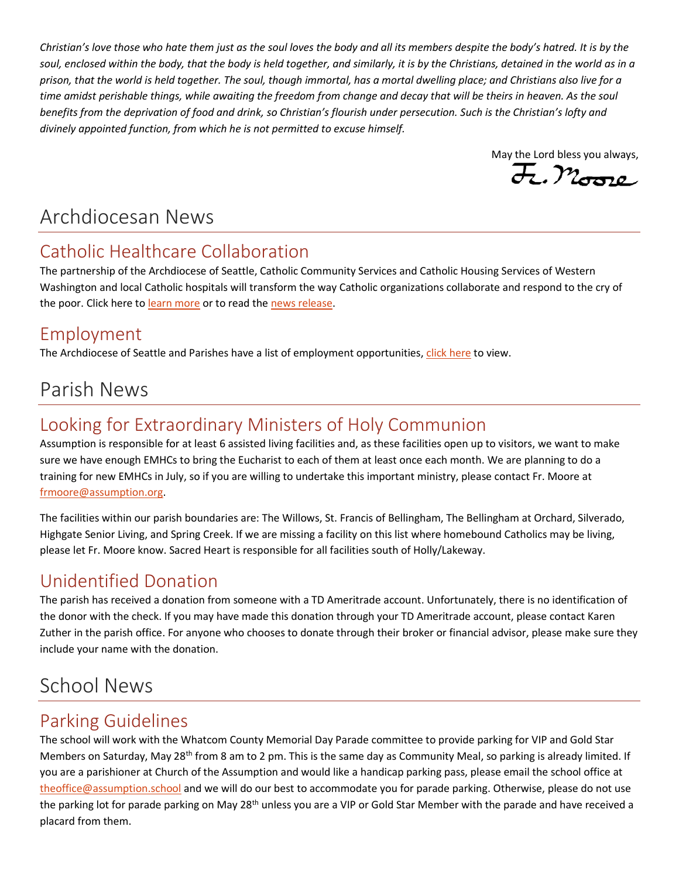*Christian's love those who hate them just as the soul loves the body and all its members despite the body's hatred. It is by the*  soul, enclosed within the body, that the body is held together, and similarly, it is by the Christians, detained in the world as in a *prison, that the world is held together. The soul, though immortal, has a mortal dwelling place; and Christians also live for a time amidst perishable things, while awaiting the freedom from change and decay that will be theirs in heaven. As the soul benefits from the deprivation of food and drink, so Christian's flourish under persecution. Such is the Christian's lofty and divinely appointed function, from which he is not permitted to excuse himself.*

May the Lord bless you always,  $\overline{\mathcal{H}}$ ,  $\mathcal{M}_{\text{G22}}$ 

## Archdiocesan News

## Catholic Healthcare Collaboration

The partnership of the Archdiocese of Seattle, Catholic Community Services and Catholic Housing Services of Western Washington and local Catholic hospitals will transform the way Catholic organizations collaborate and respond to the cry of the poor. Click here t[o learn more](https://archseattle.org/catholichealth/) or to read the [news release.](https://seattlearch.app.box.com/s/nfos68tw1avngq6819ipqx7grjy29mpr)

## Employment

The Archdiocese of Seattle and Parishes have a list of employment opportunities[, click here](https://www.paycomonline.net/v4/ats/web.php/jobs?clientkey=BB7A931544EE535844C24FB8F8C1578D&session_nonce=5d6e050d242e8a2437b26fa21e04822d) to view.

# Parish News

## Looking for Extraordinary Ministers of Holy Communion

Assumption is responsible for at least 6 assisted living facilities and, as these facilities open up to visitors, we want to make sure we have enough EMHCs to bring the Eucharist to each of them at least once each month. We are planning to do a training for new EMHCs in July, so if you are willing to undertake this important ministry, please contact Fr. Moore at [frmoore@assumption.org.](mailto:frmoore@assumption.org)

The facilities within our parish boundaries are: The Willows, St. Francis of Bellingham, The Bellingham at Orchard, Silverado, Highgate Senior Living, and Spring Creek. If we are missing a facility on this list where homebound Catholics may be living, please let Fr. Moore know. Sacred Heart is responsible for all facilities south of Holly/Lakeway.

## Unidentified Donation

The parish has received a donation from someone with a TD Ameritrade account. Unfortunately, there is no identification of the donor with the check. If you may have made this donation through your TD Ameritrade account, please contact Karen Zuther in the parish office. For anyone who chooses to donate through their broker or financial advisor, please make sure they include your name with the donation.

# School News

## Parking Guidelines

The school will work with the Whatcom County Memorial Day Parade committee to provide parking for VIP and Gold Star Members on Saturday, May 28<sup>th</sup> from 8 am to 2 pm. This is the same day as Community Meal, so parking is already limited. If you are a parishioner at Church of the Assumption and would like a handicap parking pass, please email the school office at [theoffice@assumption.school](mailto:theoffice@assumption.school) and we will do our best to accommodate you for parade parking. Otherwise, please do not use the parking lot for parade parking on May 28<sup>th</sup> unless you are a VIP or Gold Star Member with the parade and have received a placard from them.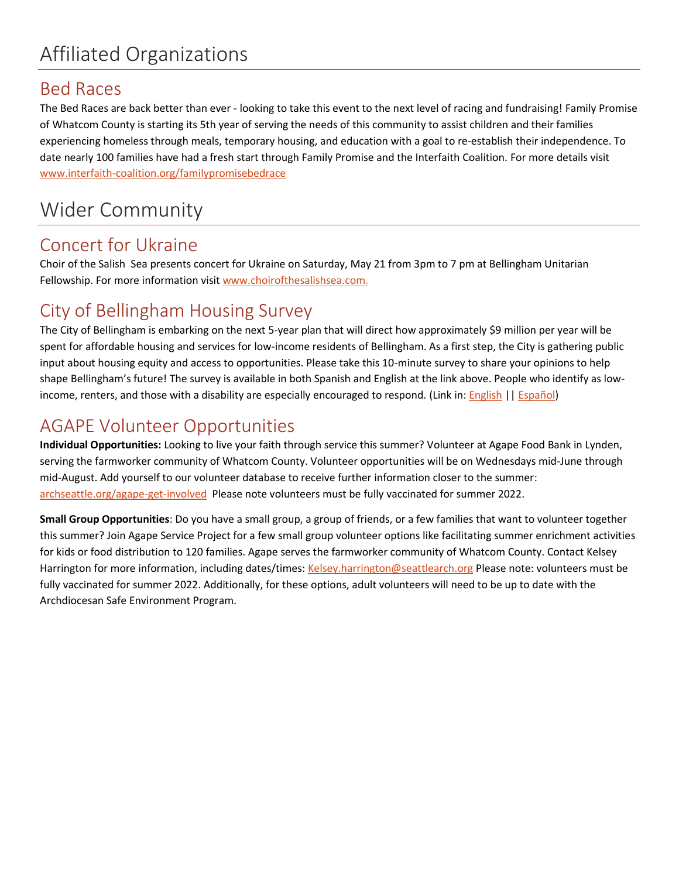# Affiliated Organizations

### Bed Races

The Bed Races are back better than ever - looking to take this event to the next level of racing and fundraising! Family Promise of Whatcom County is starting its 5th year of serving the needs of this community to assist children and their families experiencing homeless through meals, temporary housing, and education with a goal to re-establish their independence. To date nearly 100 families have had a fresh start through Family Promise and the Interfaith Coalition. For more details visit [www.interfaith-coalition.org/familypromisebedrace](http://www.interfaith-coalition.org/familypromisebedrace)

## Wider Community

### Concert for Ukraine

Choir of the Salish Sea presents concert for Ukraine on Saturday, May 21 from 3pm to 7 pm at Bellingham Unitarian Fellowship. For more information visi[t www.choirofthesalishsea.com.](http://www.choirofthesalishsea.com/)

## City of Bellingham Housing Survey

The City of Bellingham is embarking on the next 5-year plan that will direct how approximately \$9 million per year will be spent for affordable housing and services for low-income residents of Bellingham. As a first step, the City is gathering public input about housing equity and access to opportunities. Please take this 10-minute survey to share your opinions to help shape Bellingham's future! The survey is available in both Spanish and English at the link above. People who identify as lowincome, renters, and those with a disability are especially encouraged to respond. (Link in: **English || Español**)

### AGAPE Volunteer Opportunities

**Individual Opportunities:** Looking to live your faith through service this summer? Volunteer at Agape Food Bank in Lynden, serving the farmworker community of Whatcom County. Volunteer opportunities will be on Wednesdays mid-June through mid-August. Add yourself to our volunteer database to receive further information closer to the summer: [archseattle.org/agape-get-involved](https://archseattle.org/agape-get-involved) Please note volunteers must be fully vaccinated for summer 2022.

**Small Group Opportunities**: Do you have a small group, a group of friends, or a few families that want to volunteer together this summer? Join Agape Service Project for a few small group volunteer options like facilitating summer enrichment activities for kids or food distribution to 120 families. Agape serves the farmworker community of Whatcom County. Contact Kelsey Harrington for more information, including dates/times[: Kelsey.harrington@seattlearch.org](mailto:Kelsey.harrington@seattlearch.org) Please note: volunteers must be fully vaccinated for summer 2022. Additionally, for these options, adult volunteers will need to be up to date with the Archdiocesan Safe Environment Program.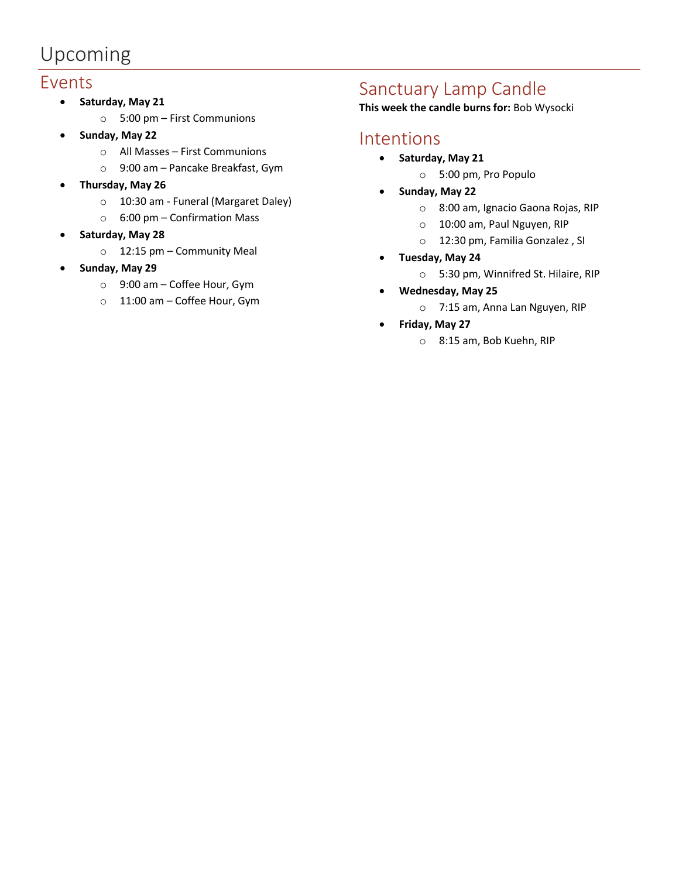# Upcoming

### Events

- **Saturday, May 21**
	- o 5:00 pm First Communions
- **Sunday, May 22**
	- o All Masses First Communions
	- o 9:00 am Pancake Breakfast, Gym
- **Thursday, May 26**
	- o 10:30 am Funeral (Margaret Daley)
	- o 6:00 pm Confirmation Mass
- **Saturday, May 28**
	- o 12:15 pm Community Meal
- **Sunday, May 29**
	- o 9:00 am Coffee Hour, Gym
	- o 11:00 am Coffee Hour, Gym

### Sanctuary Lamp Candle

**This week the candle burns for:** Bob Wysocki

### Intentions

- **Saturday, May 21**
	- o 5:00 pm, Pro Populo
- **Sunday, May 22**
	- o 8:00 am, Ignacio Gaona Rojas, RIP
	- o 10:00 am, Paul Nguyen, RIP
	- o 12:30 pm, Familia Gonzalez , SI
- **Tuesday, May 24**
	- o 5:30 pm, Winnifred St. Hilaire, RIP
- **Wednesday, May 25**
	- o 7:15 am, Anna Lan Nguyen, RIP
- **Friday, May 27**
	- o 8:15 am, Bob Kuehn, RIP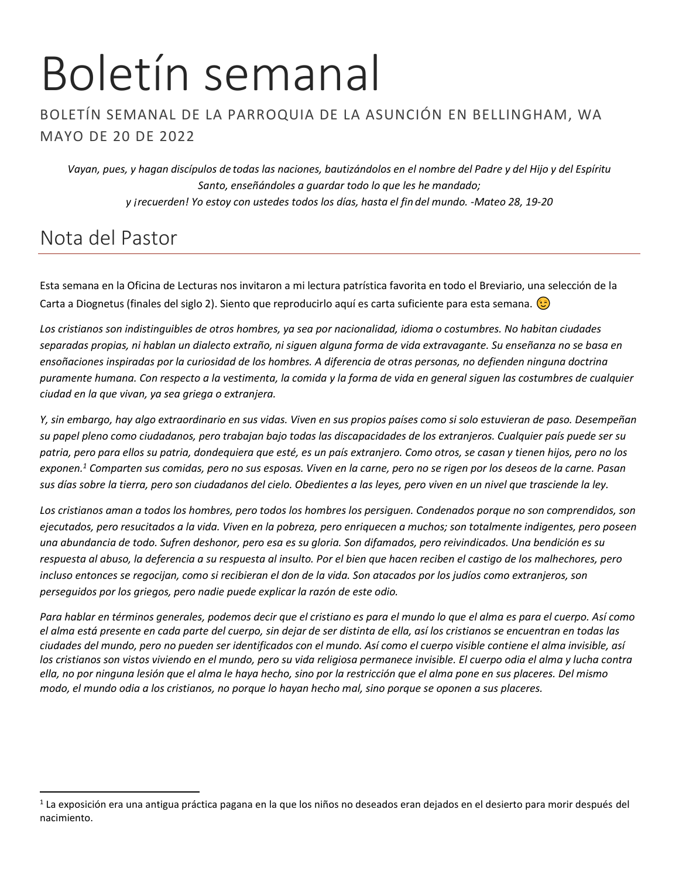# Boletín semanal

#### BOLETÍN SEMANAL DE LA PARROQUIA DE LA ASUNCIÓN EN BELLINGHAM, WA MAYO DE 20 DE 2022

*Vayan, pues, y hagan discípulos de todas las naciones, bautizándolos en el nombre del Padre y del Hijo y del Espíritu Santo, enseñándoles a guardar todo lo que les he mandado; y ¡recuerden! Yo estoy con ustedes todos los días, hasta el fin del mundo. -Mateo 28, 19-20*

## Nota del Pastor

Esta semana en la Oficina de Lecturas nos invitaron a mi lectura patrística favorita en todo el Breviario, una selección de la Carta a Diognetus (finales del siglo 2). Siento que reproducirlo aquí es carta suficiente para esta semana.  $\odot$ 

*Los cristianos son indistinguibles de otros hombres, ya sea por nacionalidad, idioma o costumbres. No habitan ciudades separadas propias, ni hablan un dialecto extraño, ni siguen alguna forma de vida extravagante. Su enseñanza no se basa en ensoñaciones inspiradas por la curiosidad de los hombres. A diferencia de otras personas, no defienden ninguna doctrina puramente humana. Con respecto a la vestimenta, la comida y la forma de vida en general siguen las costumbres de cualquier ciudad en la que vivan, ya sea griega o extranjera.*

*Y, sin embargo, hay algo extraordinario en sus vidas. Viven en sus propios países como si solo estuvieran de paso. Desempeñan su papel pleno como ciudadanos, pero trabajan bajo todas las discapacidades de los extranjeros. Cualquier país puede ser su patria, pero para ellos su patria, dondequiera que esté, es un país extranjero. Como otros, se casan y tienen hijos, pero no los exponen.<sup>1</sup> Comparten sus comidas, pero no sus esposas. Viven en la carne, pero no se rigen por los deseos de la carne. Pasan sus días sobre la tierra, pero son ciudadanos del cielo. Obedientes a las leyes, pero viven en un nivel que trasciende la ley.*

*Los cristianos aman a todos los hombres, pero todos los hombres los persiguen. Condenados porque no son comprendidos, son ejecutados, pero resucitados a la vida. Viven en la pobreza, pero enriquecen a muchos; son totalmente indigentes, pero poseen una abundancia de todo. Sufren deshonor, pero esa es su gloria. Son difamados, pero reivindicados. Una bendición es su respuesta al abuso, la deferencia a su respuesta al insulto. Por el bien que hacen reciben el castigo de los malhechores, pero incluso entonces se regocijan, como si recibieran el don de la vida. Son atacados por los judíos como extranjeros, son perseguidos por los griegos, pero nadie puede explicar la razón de este odio.*

*Para hablar en términos generales, podemos decir que el cristiano es para el mundo lo que el alma es para el cuerpo. Así como el alma está presente en cada parte del cuerpo, sin dejar de ser distinta de ella, así los cristianos se encuentran en todas las ciudades del mundo, pero no pueden ser identificados con el mundo. Así como el cuerpo visible contiene el alma invisible, así los cristianos son vistos viviendo en el mundo, pero su vida religiosa permanece invisible. El cuerpo odia el alma y lucha contra ella, no por ninguna lesión que el alma le haya hecho, sino por la restricción que el alma pone en sus placeres. Del mismo modo, el mundo odia a los cristianos, no porque lo hayan hecho mal, sino porque se oponen a sus placeres.*

 $^1$  La exposición era una antigua práctica pagana en la que los niños no deseados eran dejados en el desierto para morir después del nacimiento.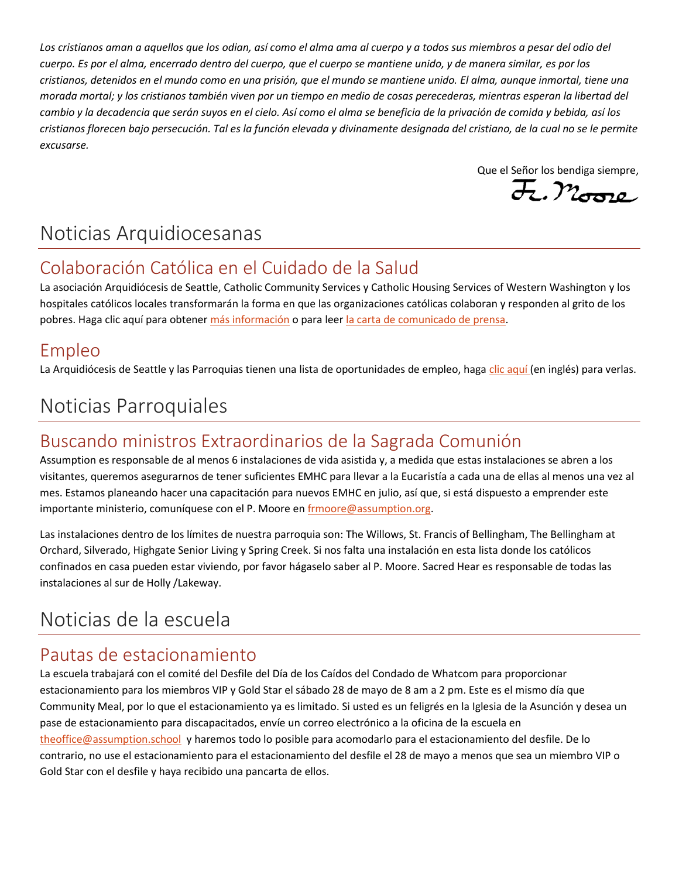*Los cristianos aman a aquellos que los odian, así como el alma ama al cuerpo y a todos sus miembros a pesar del odio del cuerpo. Es por el alma, encerrado dentro del cuerpo, que el cuerpo se mantiene unido, y de manera similar, es por los cristianos, detenidos en el mundo como en una prisión, que el mundo se mantiene unido. El alma, aunque inmortal, tiene una morada mortal; y los cristianos también viven por un tiempo en medio de cosas perecederas, mientras esperan la libertad del cambio y la decadencia que serán suyos en el cielo. Así como el alma se beneficia de la privación de comida y bebida, así los cristianos florecen bajo persecución. Tal es la función elevada y divinamente designada del cristiano, de la cual no se le permite excusarse.* 

Que el Señor los bendiga siempre,

## Noticias Arquidiocesanas

## Colaboración Católica en el Cuidado de la Salud

La asociación Arquidiócesis de Seattle, Catholic Community Services y Catholic Housing Services of Western Washington y los hospitales católicos locales transformarán la forma en que las organizaciones católicas colaboran y responden al grito de los pobres. Haga clic aquí para obtene[r más información](https://archseattle.org/salud-catolica/?lang=es) o para leer [la carta de comunicado de prensa.](https://seattlearch.app.box.com/s/888mwisgxtijfv9pkjdbqcfesgg5k06p)

### Empleo

La Arquidiócesis de Seattle y las Parroquias tienen una lista de oportunidades de empleo, haga [clic aquí](https://www.paycomonline.net/v4/ats/web.php/jobs?clientkey=BB7A931544EE535844C24FB8F8C1578D&session_nonce=5d6e050d242e8a2437b26fa21e04822d) (en inglés) para verlas.

# Noticias Parroquiales

## Buscando ministros Extraordinarios de la Sagrada Comunión

Assumption es responsable de al menos 6 instalaciones de vida asistida y, a medida que estas instalaciones se abren a los visitantes, queremos asegurarnos de tener suficientes EMHC para llevar a la Eucaristía a cada una de ellas al menos una vez al mes. Estamos planeando hacer una capacitación para nuevos EMHC en julio, así que, si está dispuesto a emprender este importante ministerio, comuníquese con el P. Moore e[n frmoore@assumption.org.](mailto:frmoore@assumption.org)

Las instalaciones dentro de los límites de nuestra parroquia son: The Willows, St. Francis of Bellingham, The Bellingham at Orchard, Silverado, Highgate Senior Living y Spring Creek. Si nos falta una instalación en esta lista donde los católicos confinados en casa pueden estar viviendo, por favor hágaselo saber al P. Moore. Sacred Hear es responsable de todas las instalaciones al sur de Holly /Lakeway.

# Noticias de la escuela

### Pautas de estacionamiento

La escuela trabajará con el comité del Desfile del Día de los Caídos del Condado de Whatcom para proporcionar estacionamiento para los miembros VIP y Gold Star el sábado 28 de mayo de 8 am a 2 pm. Este es el mismo día que Community Meal, por lo que el estacionamiento ya es limitado. Si usted es un feligrés en la Iglesia de la Asunción y desea un pase de estacionamiento para discapacitados, envíe un correo electrónico a la oficina de la escuela en [theoffice@assumption.school](mailto:theoffice@assumption.school) y haremos todo lo posible para acomodarlo para el estacionamiento del desfile. De lo contrario, no use el estacionamiento para el estacionamiento del desfile el 28 de mayo a menos que sea un miembro VIP o Gold Star con el desfile y haya recibido una pancarta de ellos.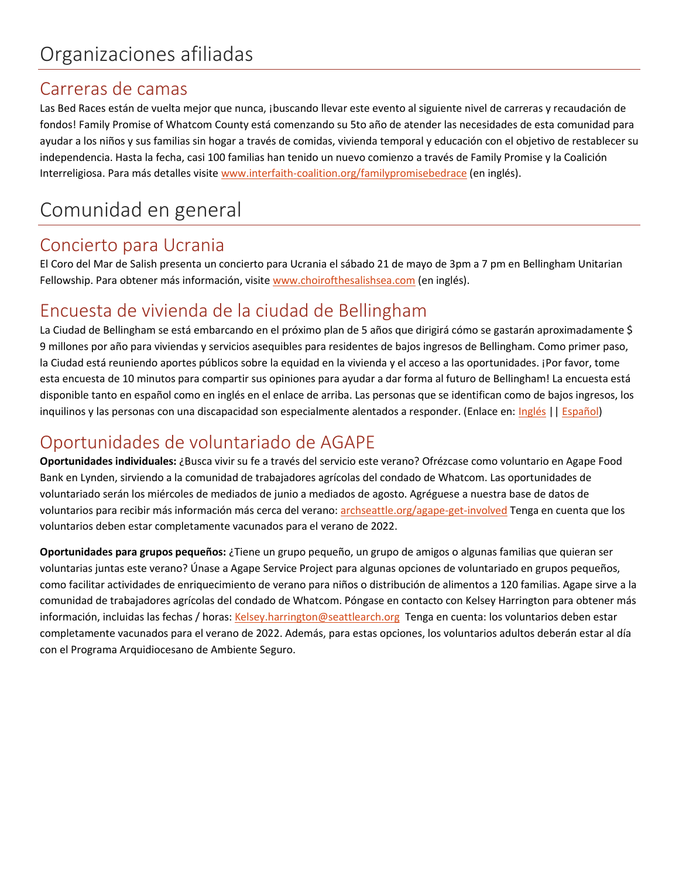### Carreras de camas

Las Bed Races están de vuelta mejor que nunca, ¡buscando llevar este evento al siguiente nivel de carreras y recaudación de fondos! Family Promise of Whatcom County está comenzando su 5to año de atender las necesidades de esta comunidad para ayudar a los niños y sus familias sin hogar a través de comidas, vivienda temporal y educación con el objetivo de restablecer su independencia. Hasta la fecha, casi 100 familias han tenido un nuevo comienzo a través de Family Promise y la Coalición Interreligiosa. Para más detalles visit[e www.interfaith-coalition.org/familypromisebedrace](http://www.interfaith-coalition.org/familypromisebedrace) (en inglés).

## Comunidad en general

### Concierto para Ucrania

El Coro del Mar de Salish presenta un concierto para Ucrania el sábado 21 de mayo de 3pm a 7 pm en Bellingham Unitarian Fellowship. Para obtener más información, visite [www.choirofthesalishsea.com](http://www.choirofthesalishsea.com/) (en inglés).

## Encuesta de vivienda de la ciudad de Bellingham

La Ciudad de Bellingham se está embarcando en el próximo plan de 5 años que dirigirá cómo se gastarán aproximadamente \$ 9 millones por año para viviendas y servicios asequibles para residentes de bajos ingresos de Bellingham. Como primer paso, la Ciudad está reuniendo aportes públicos sobre la equidad en la vivienda y el acceso a las oportunidades. ¡Por favor, tome esta encuesta de 10 minutos para compartir sus opiniones para ayudar a dar forma al futuro de Bellingham! La encuesta está disponible tanto en español como en inglés en el enlace de arriba. Las personas que se identifican como de bajos ingresos, los inquilinos y las personas con una discapacidad son especialmente alentados a responder. (Enlace en: [Inglés](https://engagebellingham.org/cp-equity/survey_tools/https-www-surveymonkey-com-r-housingequity-cob) || [Español\)](https://www.surveymonkey.com/r/housingequity-COB?lang=es)

### Oportunidades de voluntariado de AGAPE

**Oportunidades individuales:** ¿Busca vivir su fe a través del servicio este verano? Ofrézcase como voluntario en Agape Food Bank en Lynden, sirviendo a la comunidad de trabajadores agrícolas del condado de Whatcom. Las oportunidades de voluntariado serán los miércoles de mediados de junio a mediados de agosto. Agréguese a nuestra base de datos de voluntarios para recibir más información más cerca del verano: [archseattle.org/agape-get-involved](https://archseattle.org/ministerios/ministerios-de-asistencia-social/proyecto-de-servicio-agape/agape-participa/?lang=es) Tenga en cuenta que los voluntarios deben estar completamente vacunados para el verano de 2022.

**Oportunidades para grupos pequeños:** ¿Tiene un grupo pequeño, un grupo de amigos o algunas familias que quieran ser voluntarias juntas este verano? Únase a Agape Service Project para algunas opciones de voluntariado en grupos pequeños, como facilitar actividades de enriquecimiento de verano para niños o distribución de alimentos a 120 familias. Agape sirve a la comunidad de trabajadores agrícolas del condado de Whatcom. Póngase en contacto con Kelsey Harrington para obtener más información, incluidas las fechas / horas[: Kelsey.harrington@seattlearch.org](mailto:Kelsey.harrington@seattlearch.org) Tenga en cuenta: los voluntarios deben estar completamente vacunados para el verano de 2022. Además, para estas opciones, los voluntarios adultos deberán estar al día con el Programa Arquidiocesano de Ambiente Seguro.